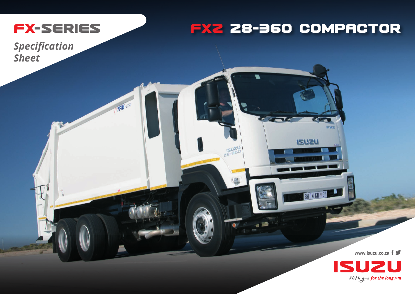

TFM HC250

## **FXZ 28-36O COMPACTOR**

FXZ

**ISU2U** 

**BH 14 KD \* GP** 

**A CALLER** 

 $\sqrt{2}$ 

*Specification Sheet*

**www.isuzu.co.za**